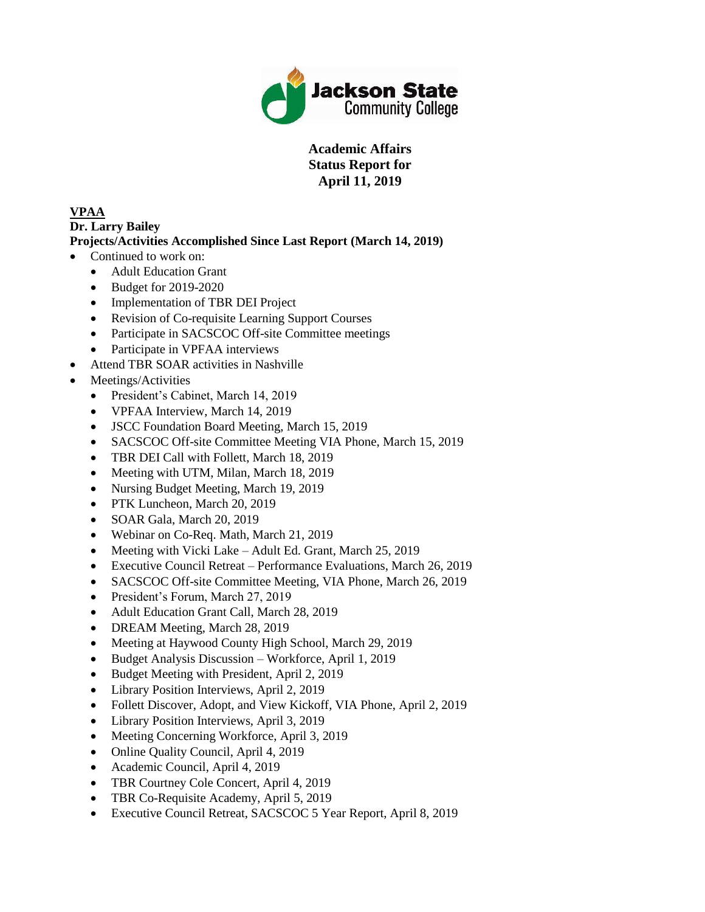

## **Academic Affairs Status Report for April 11, 2019**

## **VPAA**

## **Dr. Larry Bailey**

## **Projects/Activities Accomplished Since Last Report (March 14, 2019)**

- Continued to work on:
	- Adult Education Grant
	- Budget for 2019-2020
	- Implementation of TBR DEI Project
	- Revision of Co-requisite Learning Support Courses
	- Participate in SACSCOC Off-site Committee meetings
	- Participate in VPFAA interviews
- Attend TBR SOAR activities in Nashville
- Meetings/Activities
	- President's Cabinet, March 14, 2019
	- VPFAA Interview, March 14, 2019
	- JSCC Foundation Board Meeting, March 15, 2019
	- SACSCOC Off-site Committee Meeting VIA Phone, March 15, 2019
	- TBR DEI Call with Follett, March 18, 2019
	- Meeting with UTM, Milan, March 18, 2019
	- Nursing Budget Meeting, March 19, 2019
	- PTK Luncheon, March 20, 2019
	- SOAR Gala, March 20, 2019
	- Webinar on Co-Req. Math, March 21, 2019
	- Meeting with Vicki Lake Adult Ed. Grant, March 25, 2019
	- Executive Council Retreat Performance Evaluations, March 26, 2019
	- SACSCOC Off-site Committee Meeting, VIA Phone, March 26, 2019
	- President's Forum, March 27, 2019
	- Adult Education Grant Call, March 28, 2019
	- DREAM Meeting, March 28, 2019
	- Meeting at Haywood County High School, March 29, 2019
	- Budget Analysis Discussion Workforce, April 1, 2019
	- Budget Meeting with President, April 2, 2019
	- Library Position Interviews, April 2, 2019
	- Follett Discover, Adopt, and View Kickoff, VIA Phone, April 2, 2019
	- Library Position Interviews, April 3, 2019
	- Meeting Concerning Workforce, April 3, 2019
	- Online Quality Council, April 4, 2019
	- Academic Council, April 4, 2019
	- TBR Courtney Cole Concert, April 4, 2019
	- TBR Co-Requisite Academy, April 5, 2019
	- Executive Council Retreat, SACSCOC 5 Year Report, April 8, 2019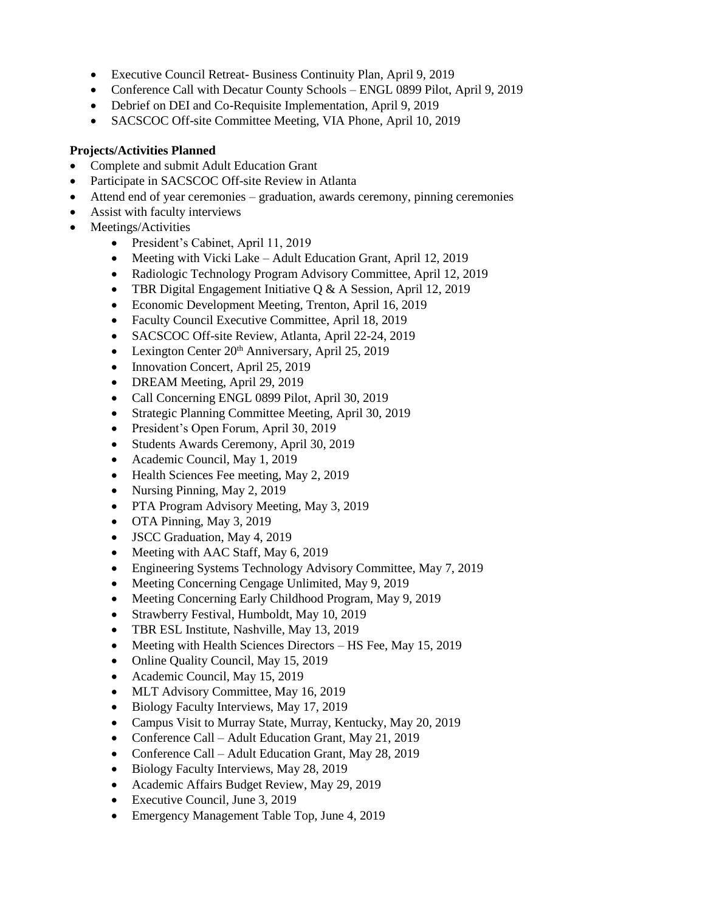- Executive Council Retreat- Business Continuity Plan, April 9, 2019
- Conference Call with Decatur County Schools ENGL 0899 Pilot, April 9, 2019
- Debrief on DEI and Co-Requisite Implementation, April 9, 2019
- SACSCOC Off-site Committee Meeting, VIA Phone, April 10, 2019

#### **Projects/Activities Planned**

- Complete and submit Adult Education Grant
- Participate in SACSCOC Off-site Review in Atlanta
- Attend end of year ceremonies graduation, awards ceremony, pinning ceremonies
- Assist with faculty interviews
- Meetings/Activities
	- President's Cabinet, April 11, 2019
	- Meeting with Vicki Lake Adult Education Grant, April 12, 2019
	- Radiologic Technology Program Advisory Committee, April 12, 2019
	- TBR Digital Engagement Initiative Q & A Session, April 12, 2019
	- Economic Development Meeting, Trenton, April 16, 2019
	- Faculty Council Executive Committee, April 18, 2019
	- SACSCOC Off-site Review, Atlanta, April 22-24, 2019
	- Lexington Center  $20<sup>th</sup>$  Anniversary, April 25, 2019
	- Innovation Concert, April 25, 2019
	- DREAM Meeting, April 29, 2019
	- Call Concerning ENGL 0899 Pilot, April 30, 2019
	- Strategic Planning Committee Meeting, April 30, 2019
	- President's Open Forum, April 30, 2019
	- Students Awards Ceremony, April 30, 2019
	- Academic Council, May 1, 2019
	- Health Sciences Fee meeting, May 2, 2019
	- Nursing Pinning, May 2, 2019
	- PTA Program Advisory Meeting, May 3, 2019
	- OTA Pinning, May 3, 2019
	- JSCC Graduation, May 4, 2019
	- Meeting with AAC Staff, May 6, 2019
	- Engineering Systems Technology Advisory Committee, May 7, 2019
	- Meeting Concerning Cengage Unlimited, May 9, 2019
	- Meeting Concerning Early Childhood Program, May 9, 2019
	- Strawberry Festival, Humboldt, May 10, 2019
	- TBR ESL Institute, Nashville, May 13, 2019
	- Meeting with Health Sciences Directors HS Fee, May 15, 2019
	- Online Quality Council, May 15, 2019
	- Academic Council, May 15, 2019
	- MLT Advisory Committee, May 16, 2019
	- Biology Faculty Interviews, May 17, 2019
	- Campus Visit to Murray State, Murray, Kentucky, May 20, 2019
	- Conference Call Adult Education Grant, May 21, 2019
	- Conference Call Adult Education Grant, May 28, 2019
	- Biology Faculty Interviews, May 28, 2019
	- Academic Affairs Budget Review, May 29, 2019
	- Executive Council, June 3, 2019
	- Emergency Management Table Top, June 4, 2019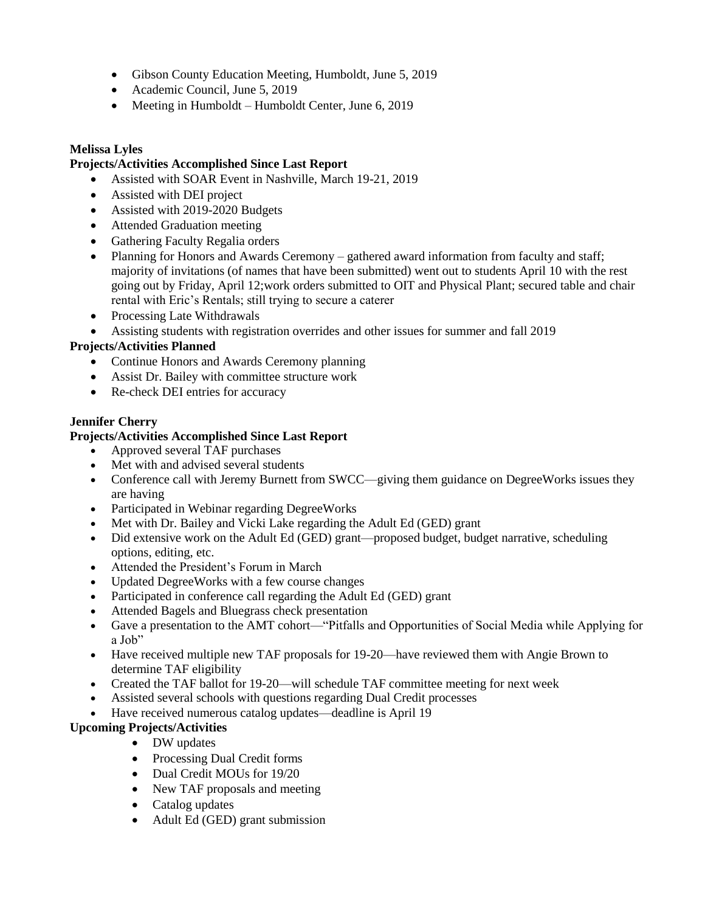- Gibson County Education Meeting, Humboldt, June 5, 2019
- Academic Council, June 5, 2019
- Meeting in Humboldt Humboldt Center, June 6, 2019

#### **Melissa Lyles**

#### **Projects/Activities Accomplished Since Last Report**

- Assisted with SOAR Event in Nashville, March 19-21, 2019
- Assisted with DEI project
- Assisted with 2019-2020 Budgets
- Attended Graduation meeting
- Gathering Faculty Regalia orders
- Planning for Honors and Awards Ceremony gathered award information from faculty and staff; majority of invitations (of names that have been submitted) went out to students April 10 with the rest going out by Friday, April 12;work orders submitted to OIT and Physical Plant; secured table and chair rental with Eric's Rentals; still trying to secure a caterer
- Processing Late Withdrawals
- Assisting students with registration overrides and other issues for summer and fall 2019

## **Projects/Activities Planned**

- Continue Honors and Awards Ceremony planning
- Assist Dr. Bailey with committee structure work
- Re-check DEI entries for accuracy

## **Jennifer Cherry**

## **Projects/Activities Accomplished Since Last Report**

- Approved several TAF purchases
- Met with and advised several students
- Conference call with Jeremy Burnett from SWCC—giving them guidance on DegreeWorks issues they are having
- Participated in Webinar regarding DegreeWorks
- Met with Dr. Bailey and Vicki Lake regarding the Adult Ed (GED) grant
- Did extensive work on the Adult Ed (GED) grant—proposed budget, budget narrative, scheduling options, editing, etc.
- Attended the President's Forum in March
- Updated DegreeWorks with a few course changes
- Participated in conference call regarding the Adult Ed (GED) grant
- Attended Bagels and Bluegrass check presentation
- Gave a presentation to the AMT cohort—"Pitfalls and Opportunities of Social Media while Applying for a Job"
- Have received multiple new TAF proposals for 19-20—have reviewed them with Angie Brown to determine TAF eligibility
- Created the TAF ballot for 19-20—will schedule TAF committee meeting for next week
- Assisted several schools with questions regarding Dual Credit processes
- Have received numerous catalog updates—deadline is April 19

## **Upcoming Projects/Activities**

- DW updates
- Processing Dual Credit forms
- Dual Credit MOUs for 19/20
- New TAF proposals and meeting
- Catalog updates
- Adult Ed (GED) grant submission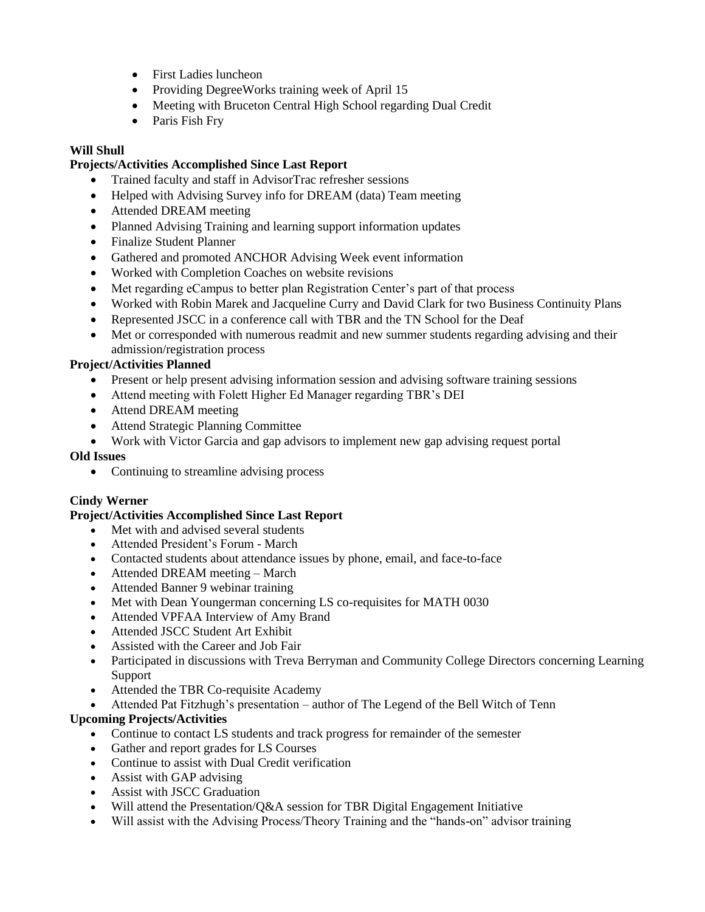- First Ladies luncheon
- Providing DegreeWorks training week of April 15
- Meeting with Bruceton Central High School regarding Dual Credit
- Paris Fish Fry

#### **Will Shull**

#### **Projects/Activities Accomplished Since Last Report**

- Trained faculty and staff in AdvisorTrac refresher sessions
- Helped with Advising Survey info for DREAM (data) Team meeting
- Attended DREAM meeting
- Planned Advising Training and learning support information updates
- Finalize Student Planner
- Gathered and promoted ANCHOR Advising Week event information
- Worked with Completion Coaches on website revisions
- Met regarding eCampus to better plan Registration Center's part of that process
- Worked with Robin Marek and Jacqueline Curry and David Clark for two Business Continuity Plans
- Represented JSCC in a conference call with TBR and the TN School for the Deaf
- Met or corresponded with numerous readmit and new summer students regarding advising and their admission/registration process

#### **Project/Activities Planned**

- Present or help present advising information session and advising software training sessions
- Attend meeting with Folett Higher Ed Manager regarding TBR's DEI
- Attend DREAM meeting
- Attend Strategic Planning Committee
- Work with Victor Garcia and gap advisors to implement new gap advising request portal

#### **Old Issues**

• Continuing to streamline advising process

#### **Cindy Werner**

#### **Project/Activities Accomplished Since Last Report**

- Met with and advised several students
- Attended President's Forum March
- Contacted students about attendance issues by phone, email, and face-to-face
- Attended DREAM meeting March
- Attended Banner 9 webinar training
- Met with Dean Youngerman concerning LS co-requisites for MATH 0030
- Attended VPFAA Interview of Amy Brand
- Attended JSCC Student Art Exhibit
- Assisted with the Career and Job Fair
- Participated in discussions with Treva Berryman and Community College Directors concerning Learning Support
- Attended the TBR Co-requisite Academy
- Attended Pat Fitzhugh's presentation author of The Legend of the Bell Witch of Tenn

## **Upcoming Projects/Activities**

- Continue to contact LS students and track progress for remainder of the semester
- Gather and report grades for LS Courses
- Continue to assist with Dual Credit verification
- Assist with GAP advising
- Assist with JSCC Graduation
- Will attend the Presentation/Q&A session for TBR Digital Engagement Initiative
- Will assist with the Advising Process/Theory Training and the "hands-on" advisor training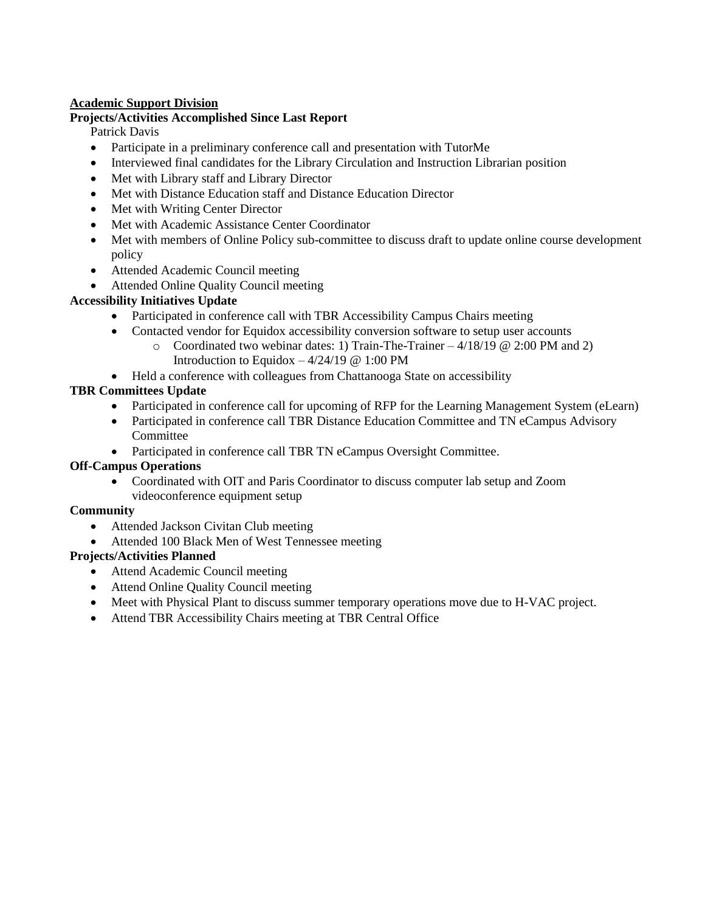## **Academic Support Division**

#### **Projects/Activities Accomplished Since Last Report**

Patrick Davis

- Participate in a preliminary conference call and presentation with TutorMe
- Interviewed final candidates for the Library Circulation and Instruction Librarian position
- Met with Library staff and Library Director
- Met with Distance Education staff and Distance Education Director
- Met with Writing Center Director
- Met with Academic Assistance Center Coordinator
- Met with members of Online Policy sub-committee to discuss draft to update online course development policy
- Attended Academic Council meeting
- Attended Online Quality Council meeting

## **Accessibility Initiatives Update**

- Participated in conference call with TBR Accessibility Campus Chairs meeting
- Contacted vendor for Equidox accessibility conversion software to setup user accounts
	- $\circ$  Coordinated two webinar dates: 1) Train-The-Trainer 4/18/19 @ 2:00 PM and 2) Introduction to Equidox  $-4/24/19 \text{ } \textcircled{e} 1:00 \text{ } \text{PM}$
- Held a conference with colleagues from Chattanooga State on accessibility

## **TBR Committees Update**

- Participated in conference call for upcoming of RFP for the Learning Management System (eLearn)
- Participated in conference call TBR Distance Education Committee and TN eCampus Advisory **Committee**
- Participated in conference call TBR TN eCampus Oversight Committee.

## **Off-Campus Operations**

 Coordinated with OIT and Paris Coordinator to discuss computer lab setup and Zoom videoconference equipment setup

## **Community**

- Attended Jackson Civitan Club meeting
- Attended 100 Black Men of West Tennessee meeting

## **Projects/Activities Planned**

- Attend Academic Council meeting
- Attend Online Quality Council meeting
- Meet with Physical Plant to discuss summer temporary operations move due to H-VAC project.
- Attend TBR Accessibility Chairs meeting at TBR Central Office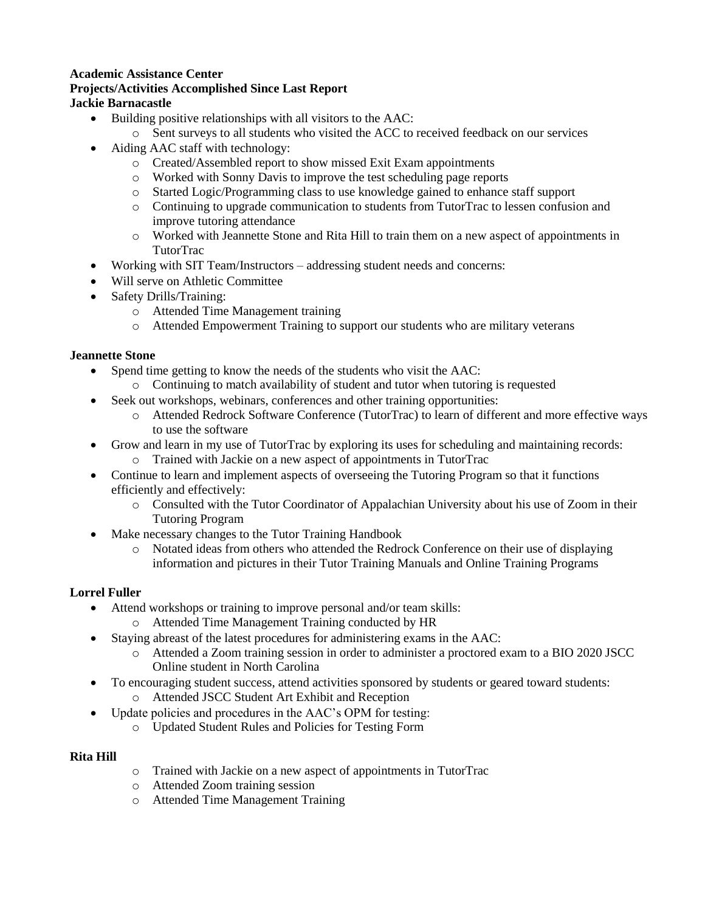#### **Academic Assistance Center Projects/Activities Accomplished Since Last Report Jackie Barnacastle**

- Building positive relationships with all visitors to the AAC:
	- o Sent surveys to all students who visited the ACC to received feedback on our services
- Aiding AAC staff with technology:
	- o Created/Assembled report to show missed Exit Exam appointments
	- o Worked with Sonny Davis to improve the test scheduling page reports
	- o Started Logic/Programming class to use knowledge gained to enhance staff support
	- o Continuing to upgrade communication to students from TutorTrac to lessen confusion and improve tutoring attendance
	- o Worked with Jeannette Stone and Rita Hill to train them on a new aspect of appointments in TutorTrac
- Working with SIT Team/Instructors addressing student needs and concerns:
- Will serve on Athletic Committee
- Safety Drills/Training:
	- o Attended Time Management training
	- o Attended Empowerment Training to support our students who are military veterans

#### **Jeannette Stone**

- Spend time getting to know the needs of the students who visit the AAC:
	- o Continuing to match availability of student and tutor when tutoring is requested
- Seek out workshops, webinars, conferences and other training opportunities:
	- o Attended Redrock Software Conference (TutorTrac) to learn of different and more effective ways to use the software
- Grow and learn in my use of TutorTrac by exploring its uses for scheduling and maintaining records:
	- o Trained with Jackie on a new aspect of appointments in TutorTrac
- Continue to learn and implement aspects of overseeing the Tutoring Program so that it functions efficiently and effectively:
	- o Consulted with the Tutor Coordinator of Appalachian University about his use of Zoom in their Tutoring Program
- Make necessary changes to the Tutor Training Handbook
	- o Notated ideas from others who attended the Redrock Conference on their use of displaying information and pictures in their Tutor Training Manuals and Online Training Programs

## **Lorrel Fuller**

- Attend workshops or training to improve personal and/or team skills:
	- o Attended Time Management Training conducted by HR
- Staying abreast of the latest procedures for administering exams in the AAC:
	- o Attended a Zoom training session in order to administer a proctored exam to a BIO 2020 JSCC Online student in North Carolina
- To encouraging student success, attend activities sponsored by students or geared toward students: o Attended JSCC Student Art Exhibit and Reception
	- Update policies and procedures in the AAC's OPM for testing:
		- o Updated Student Rules and Policies for Testing Form

#### **Rita Hill**

- o Trained with Jackie on a new aspect of appointments in TutorTrac
- o Attended Zoom training session
- o Attended Time Management Training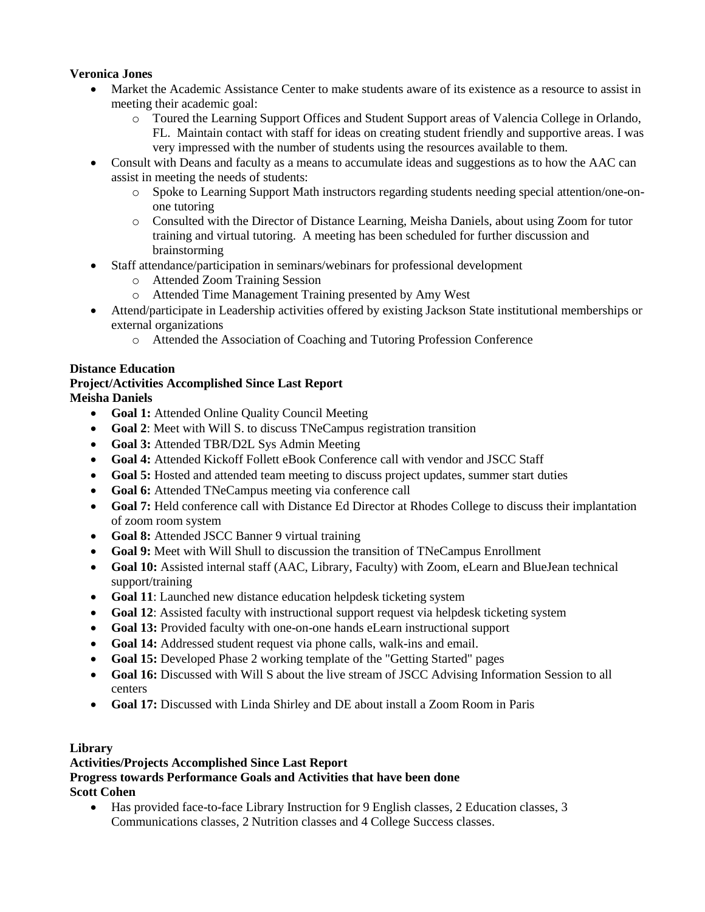## **Veronica Jones**

- Market the Academic Assistance Center to make students aware of its existence as a resource to assist in meeting their academic goal:
	- o Toured the Learning Support Offices and Student Support areas of Valencia College in Orlando, FL. Maintain contact with staff for ideas on creating student friendly and supportive areas. I was very impressed with the number of students using the resources available to them.
- Consult with Deans and faculty as a means to accumulate ideas and suggestions as to how the AAC can assist in meeting the needs of students:
	- o Spoke to Learning Support Math instructors regarding students needing special attention/one-onone tutoring
	- o Consulted with the Director of Distance Learning, Meisha Daniels, about using Zoom for tutor training and virtual tutoring. A meeting has been scheduled for further discussion and brainstorming
- Staff attendance/participation in seminars/webinars for professional development
	- o Attended Zoom Training Session
	- o Attended Time Management Training presented by Amy West
- Attend/participate in Leadership activities offered by existing Jackson State institutional memberships or external organizations
	- o Attended the Association of Coaching and Tutoring Profession Conference

## **Distance Education**

#### **Project/Activities Accomplished Since Last Report Meisha Daniels**

- **Goal 1:** Attended Online Quality Council Meeting
- **Goal 2**: Meet with Will S. to discuss TNeCampus registration transition
- **Goal 3:** Attended TBR/D2L Sys Admin Meeting
- **Goal 4:** Attended Kickoff Follett eBook Conference call with vendor and JSCC Staff
- **Goal 5:** Hosted and attended team meeting to discuss project updates, summer start duties
- **Goal 6:** Attended TNeCampus meeting via conference call
- **Goal 7:** Held conference call with Distance Ed Director at Rhodes College to discuss their implantation of zoom room system
- **Goal 8:** Attended JSCC Banner 9 virtual training
- **Goal 9:** Meet with Will Shull to discussion the transition of TNeCampus Enrollment
- **Goal 10:** Assisted internal staff (AAC, Library, Faculty) with Zoom, eLearn and BlueJean technical support/training
- **Goal 11**: Launched new distance education helpdesk ticketing system
- **Goal 12**: Assisted faculty with instructional support request via helpdesk ticketing system
- **Goal 13:** Provided faculty with one-on-one hands eLearn instructional support
- **Goal 14:** Addressed student request via phone calls, walk-ins and email.
- **Goal 15:** Developed Phase 2 working template of the "Getting Started" pages
- **Goal 16:** Discussed with Will S about the live stream of JSCC Advising Information Session to all centers
- **Goal 17:** Discussed with Linda Shirley and DE about install a Zoom Room in Paris

## **Library**

## **Activities/Projects Accomplished Since Last Report Progress towards Performance Goals and Activities that have been done Scott Cohen**

 Has provided face-to-face Library Instruction for 9 English classes, 2 Education classes, 3 Communications classes, 2 Nutrition classes and 4 College Success classes.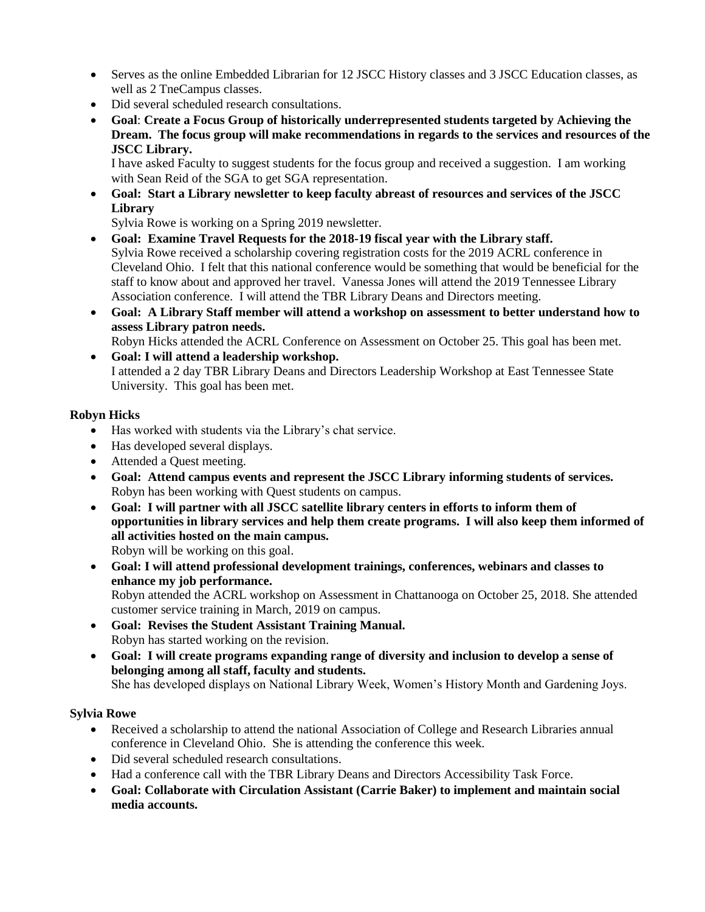- Serves as the online Embedded Librarian for 12 JSCC History classes and 3 JSCC Education classes, as well as 2 TneCampus classes.
- Did several scheduled research consultations.
- **Goal**: **Create a Focus Group of historically underrepresented students targeted by Achieving the Dream. The focus group will make recommendations in regards to the services and resources of the JSCC Library.**

I have asked Faculty to suggest students for the focus group and received a suggestion. I am working with Sean Reid of the SGA to get SGA representation.

 **Goal: Start a Library newsletter to keep faculty abreast of resources and services of the JSCC Library**

Sylvia Rowe is working on a Spring 2019 newsletter.

- **Goal: Examine Travel Requests for the 2018-19 fiscal year with the Library staff.** Sylvia Rowe received a scholarship covering registration costs for the 2019 ACRL conference in Cleveland Ohio. I felt that this national conference would be something that would be beneficial for the staff to know about and approved her travel. Vanessa Jones will attend the 2019 Tennessee Library Association conference. I will attend the TBR Library Deans and Directors meeting.
- **Goal: A Library Staff member will attend a workshop on assessment to better understand how to assess Library patron needs.**

Robyn Hicks attended the ACRL Conference on Assessment on October 25. This goal has been met. **Goal: I will attend a leadership workshop.**

I attended a 2 day TBR Library Deans and Directors Leadership Workshop at East Tennessee State University. This goal has been met.

## **Robyn Hicks**

- Has worked with students via the Library's chat service.
- Has developed several displays.
- Attended a Quest meeting.
- **Goal: Attend campus events and represent the JSCC Library informing students of services.** Robyn has been working with Quest students on campus.
- **Goal: I will partner with all JSCC satellite library centers in efforts to inform them of opportunities in library services and help them create programs. I will also keep them informed of all activities hosted on the main campus.** Robyn will be working on this goal.
- **Goal: I will attend professional development trainings, conferences, webinars and classes to enhance my job performance.** Robyn attended the ACRL workshop on Assessment in Chattanooga on October 25, 2018. She attended customer service training in March, 2019 on campus.
- **Goal: Revises the Student Assistant Training Manual.** Robyn has started working on the revision.
- **Goal: I will create programs expanding range of diversity and inclusion to develop a sense of belonging among all staff, faculty and students.** She has developed displays on National Library Week, Women's History Month and Gardening Joys.

## **Sylvia Rowe**

- Received a scholarship to attend the national Association of College and Research Libraries annual conference in Cleveland Ohio. She is attending the conference this week.
- Did several scheduled research consultations.
- Had a conference call with the TBR Library Deans and Directors Accessibility Task Force.
- **Goal: Collaborate with Circulation Assistant (Carrie Baker) to implement and maintain social media accounts.**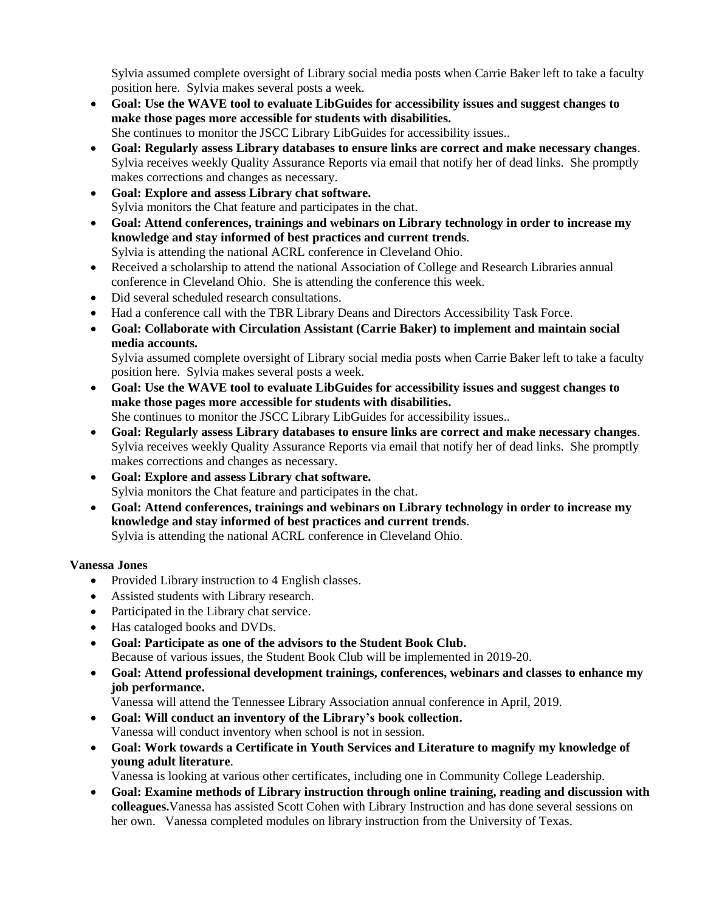Sylvia assumed complete oversight of Library social media posts when Carrie Baker left to take a faculty position here. Sylvia makes several posts a week.

- **Goal: Use the WAVE tool to evaluate LibGuides for accessibility issues and suggest changes to make those pages more accessible for students with disabilities.** She continues to monitor the JSCC Library LibGuides for accessibility issues..
- **Goal: Regularly assess Library databases to ensure links are correct and make necessary changes**. Sylvia receives weekly Quality Assurance Reports via email that notify her of dead links. She promptly makes corrections and changes as necessary.
- **Goal: Explore and assess Library chat software.** Sylvia monitors the Chat feature and participates in the chat.
- **Goal: Attend conferences, trainings and webinars on Library technology in order to increase my knowledge and stay informed of best practices and current trends**. Sylvia is attending the national ACRL conference in Cleveland Ohio.
- Received a scholarship to attend the national Association of College and Research Libraries annual conference in Cleveland Ohio. She is attending the conference this week.
- Did several scheduled research consultations.
- Had a conference call with the TBR Library Deans and Directors Accessibility Task Force.
- **Goal: Collaborate with Circulation Assistant (Carrie Baker) to implement and maintain social media accounts.**

Sylvia assumed complete oversight of Library social media posts when Carrie Baker left to take a faculty position here. Sylvia makes several posts a week.

- **Goal: Use the WAVE tool to evaluate LibGuides for accessibility issues and suggest changes to make those pages more accessible for students with disabilities.** She continues to monitor the JSCC Library LibGuides for accessibility issues..
- **Goal: Regularly assess Library databases to ensure links are correct and make necessary changes**. Sylvia receives weekly Quality Assurance Reports via email that notify her of dead links. She promptly makes corrections and changes as necessary.
- **Goal: Explore and assess Library chat software.** Sylvia monitors the Chat feature and participates in the chat.
- **Goal: Attend conferences, trainings and webinars on Library technology in order to increase my knowledge and stay informed of best practices and current trends**. Sylvia is attending the national ACRL conference in Cleveland Ohio.

## **Vanessa Jones**

- Provided Library instruction to 4 English classes.
- Assisted students with Library research.
- Participated in the Library chat service.
- Has cataloged books and DVDs.
- **Goal: Participate as one of the advisors to the Student Book Club.** Because of various issues, the Student Book Club will be implemented in 2019-20.
- **Goal: Attend professional development trainings, conferences, webinars and classes to enhance my job performance.**

Vanessa will attend the Tennessee Library Association annual conference in April, 2019.

- **Goal: Will conduct an inventory of the Library's book collection.** Vanessa will conduct inventory when school is not in session.
- **Goal: Work towards a Certificate in Youth Services and Literature to magnify my knowledge of young adult literature**.

Vanessa is looking at various other certificates, including one in Community College Leadership.

 **Goal: Examine methods of Library instruction through online training, reading and discussion with colleagues.**Vanessa has assisted Scott Cohen with Library Instruction and has done several sessions on her own. Vanessa completed modules on library instruction from the University of Texas.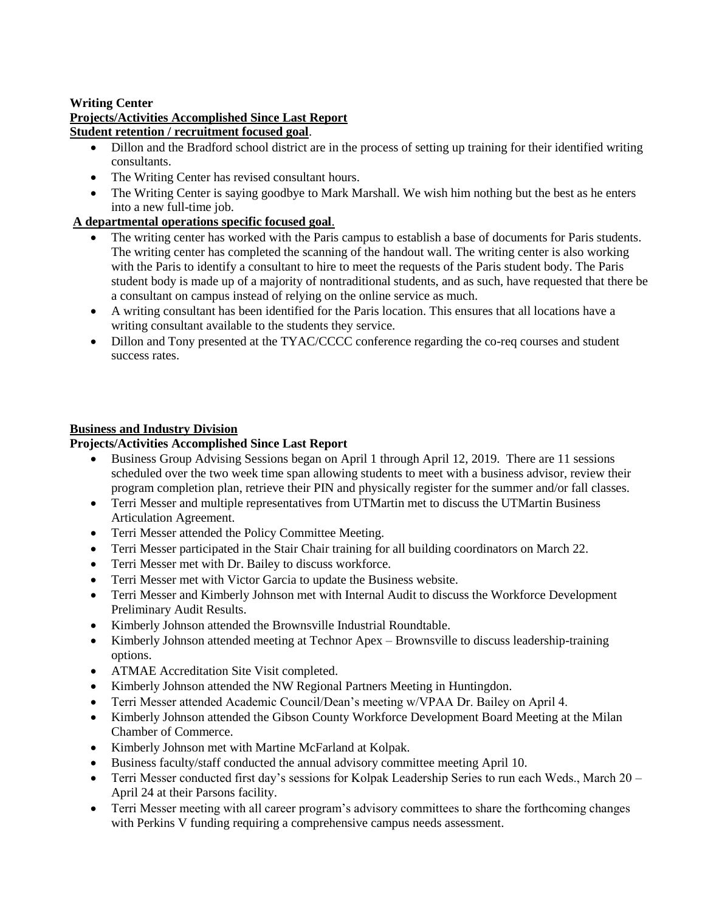#### **Writing Center**

#### **Projects/Activities Accomplished Since Last Report Student retention / recruitment focused goal**.

- Dillon and the Bradford school district are in the process of setting up training for their identified writing consultants.
- The Writing Center has revised consultant hours.
- The Writing Center is saying goodbye to Mark Marshall. We wish him nothing but the best as he enters into a new full-time job.

## **A departmental operations specific focused goal**.

- The writing center has worked with the Paris campus to establish a base of documents for Paris students. The writing center has completed the scanning of the handout wall. The writing center is also working with the Paris to identify a consultant to hire to meet the requests of the Paris student body. The Paris student body is made up of a majority of nontraditional students, and as such, have requested that there be a consultant on campus instead of relying on the online service as much.
- A writing consultant has been identified for the Paris location. This ensures that all locations have a writing consultant available to the students they service.
- Dillon and Tony presented at the TYAC/CCCC conference regarding the co-req courses and student success rates.

## **Business and Industry Division**

#### **Projects/Activities Accomplished Since Last Report**

- Business Group Advising Sessions began on April 1 through April 12, 2019. There are 11 sessions scheduled over the two week time span allowing students to meet with a business advisor, review their program completion plan, retrieve their PIN and physically register for the summer and/or fall classes.
- Terri Messer and multiple representatives from UTMartin met to discuss the UTMartin Business Articulation Agreement.
- Terri Messer attended the Policy Committee Meeting.
- Terri Messer participated in the Stair Chair training for all building coordinators on March 22.
- Terri Messer met with Dr. Bailey to discuss workforce.
- Terri Messer met with Victor Garcia to update the Business website.
- Terri Messer and Kimberly Johnson met with Internal Audit to discuss the Workforce Development Preliminary Audit Results.
- Kimberly Johnson attended the Brownsville Industrial Roundtable.
- Kimberly Johnson attended meeting at Technor Apex Brownsville to discuss leadership-training options.
- ATMAE Accreditation Site Visit completed.
- Kimberly Johnson attended the NW Regional Partners Meeting in Huntingdon.
- Terri Messer attended Academic Council/Dean's meeting w/VPAA Dr. Bailey on April 4.
- Kimberly Johnson attended the Gibson County Workforce Development Board Meeting at the Milan Chamber of Commerce.
- Kimberly Johnson met with Martine McFarland at Kolpak.
- Business faculty/staff conducted the annual advisory committee meeting April 10.
- Terri Messer conducted first day's sessions for Kolpak Leadership Series to run each Weds., March 20 April 24 at their Parsons facility.
- Terri Messer meeting with all career program's advisory committees to share the forthcoming changes with Perkins V funding requiring a comprehensive campus needs assessment.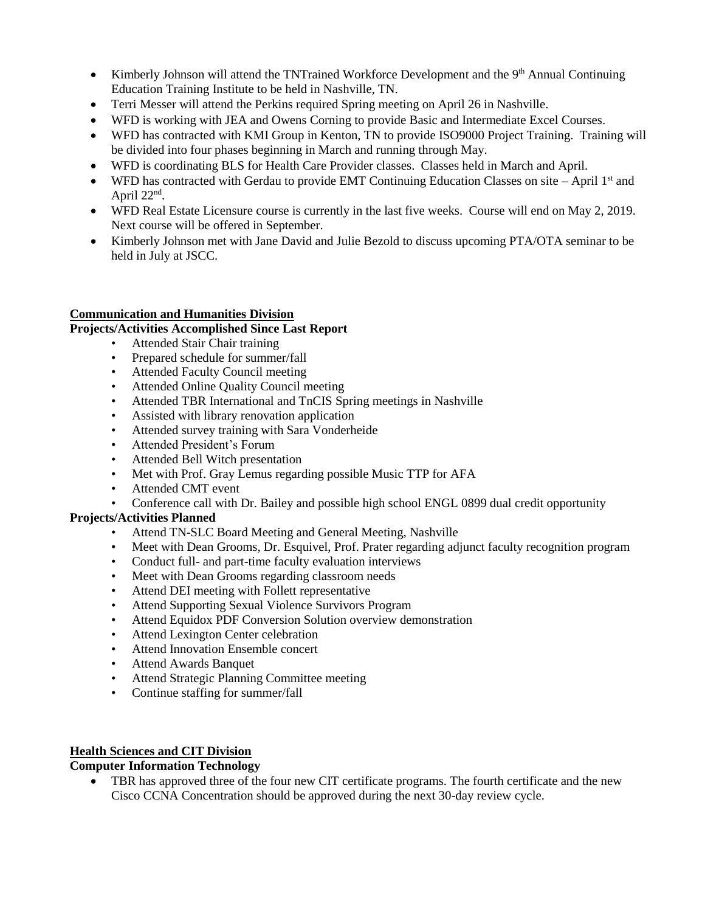- Kimberly Johnson will attend the TNTrained Workforce Development and the  $9<sup>th</sup>$  Annual Continuing Education Training Institute to be held in Nashville, TN.
- Terri Messer will attend the Perkins required Spring meeting on April 26 in Nashville.
- WFD is working with JEA and Owens Corning to provide Basic and Intermediate Excel Courses.
- WFD has contracted with KMI Group in Kenton, TN to provide ISO9000 Project Training. Training will be divided into four phases beginning in March and running through May.
- WFD is coordinating BLS for Health Care Provider classes. Classes held in March and April.
- WFD has contracted with Gerdau to provide EMT Continuing Education Classes on site April  $1<sup>st</sup>$  and April 22<sup>nd</sup>.
- WFD Real Estate Licensure course is currently in the last five weeks. Course will end on May 2, 2019. Next course will be offered in September.
- Kimberly Johnson met with Jane David and Julie Bezold to discuss upcoming PTA/OTA seminar to be held in July at JSCC.

#### **Communication and Humanities Division**

#### **Projects/Activities Accomplished Since Last Report**

- Attended Stair Chair training
- Prepared schedule for summer/fall
- Attended Faculty Council meeting
- Attended Online Quality Council meeting
- Attended TBR International and TnCIS Spring meetings in Nashville
- Assisted with library renovation application
- Attended survey training with Sara Vonderheide
- Attended President's Forum
- Attended Bell Witch presentation
- Met with Prof. Gray Lemus regarding possible Music TTP for AFA
- Attended CMT event
- Conference call with Dr. Bailey and possible high school ENGL 0899 dual credit opportunity

#### **Projects/Activities Planned**

- Attend TN-SLC Board Meeting and General Meeting, Nashville
- Meet with Dean Grooms, Dr. Esquivel, Prof. Prater regarding adjunct faculty recognition program
- Conduct full- and part-time faculty evaluation interviews
- Meet with Dean Grooms regarding classroom needs
- Attend DEI meeting with Follett representative
- Attend Supporting Sexual Violence Survivors Program
- Attend Equidox PDF Conversion Solution overview demonstration
- Attend Lexington Center celebration
- Attend Innovation Ensemble concert
- Attend Awards Banquet
- Attend Strategic Planning Committee meeting
- Continue staffing for summer/fall

#### **Health Sciences and CIT Division**

#### **Computer Information Technology**

 TBR has approved three of the four new CIT certificate programs. The fourth certificate and the new Cisco CCNA Concentration should be approved during the next 30-day review cycle.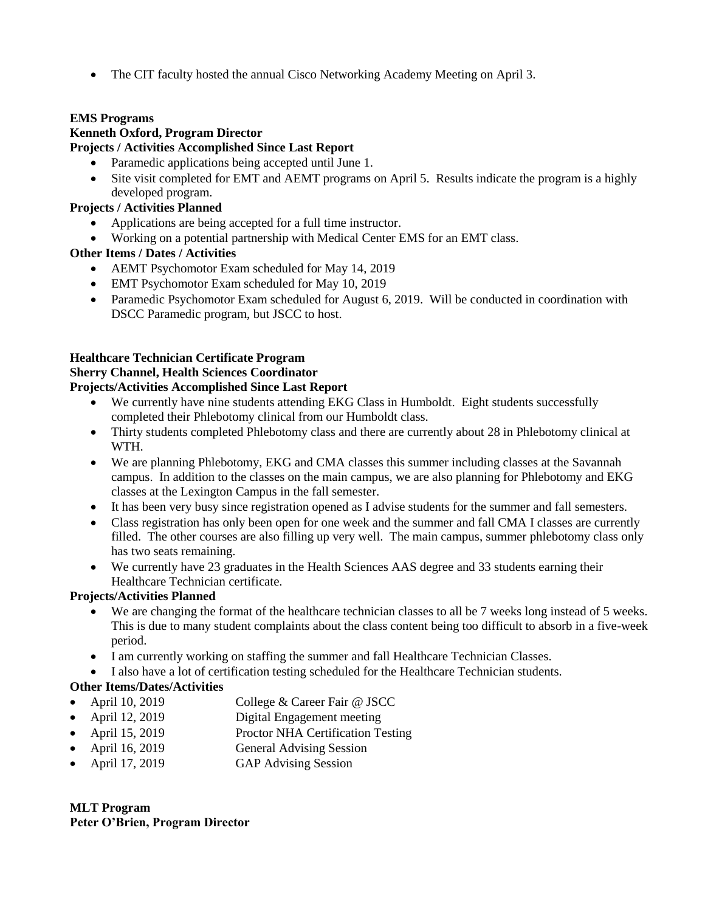• The CIT faculty hosted the annual Cisco Networking Academy Meeting on April 3.

## **EMS Programs**

## **Kenneth Oxford, Program Director**

## **Projects / Activities Accomplished Since Last Report**

- Paramedic applications being accepted until June 1.
- Site visit completed for EMT and AEMT programs on April 5. Results indicate the program is a highly developed program.

## **Projects / Activities Planned**

- Applications are being accepted for a full time instructor.
- Working on a potential partnership with Medical Center EMS for an EMT class.

## **Other Items / Dates / Activities**

- AEMT Psychomotor Exam scheduled for May 14, 2019
- EMT Psychomotor Exam scheduled for May 10, 2019
- Paramedic Psychomotor Exam scheduled for August 6, 2019. Will be conducted in coordination with DSCC Paramedic program, but JSCC to host.

## **Healthcare Technician Certificate Program**

## **Sherry Channel, Health Sciences Coordinator**

## **Projects/Activities Accomplished Since Last Report**

- We currently have nine students attending EKG Class in Humboldt. Eight students successfully completed their Phlebotomy clinical from our Humboldt class.
- Thirty students completed Phlebotomy class and there are currently about 28 in Phlebotomy clinical at WTH.
- We are planning Phlebotomy, EKG and CMA classes this summer including classes at the Savannah campus. In addition to the classes on the main campus, we are also planning for Phlebotomy and EKG classes at the Lexington Campus in the fall semester.
- It has been very busy since registration opened as I advise students for the summer and fall semesters.
- Class registration has only been open for one week and the summer and fall CMA I classes are currently filled. The other courses are also filling up very well. The main campus, summer phlebotomy class only has two seats remaining.
- We currently have 23 graduates in the Health Sciences AAS degree and 33 students earning their Healthcare Technician certificate.

## **Projects/Activities Planned**

- We are changing the format of the healthcare technician classes to all be 7 weeks long instead of 5 weeks. This is due to many student complaints about the class content being too difficult to absorb in a five-week period.
- I am currently working on staffing the summer and fall Healthcare Technician Classes.
- I also have a lot of certification testing scheduled for the Healthcare Technician students.

## **Other Items/Dates/Activities**

- April 10, 2019 College & Career Fair @ JSCC
- April 12, 2019 Digital Engagement meeting
- April 15, 2019 Proctor NHA Certification Testing
- April 16, 2019 General Advising Session
- April 17, 2019 GAP Advising Session

**MLT Program Peter O'Brien, Program Director**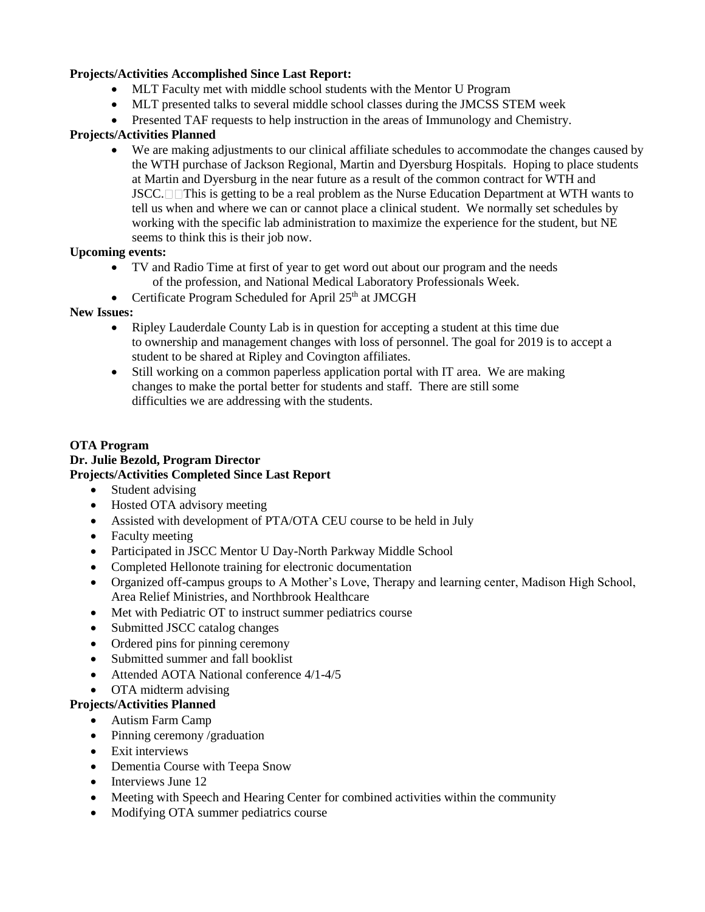#### **Projects/Activities Accomplished Since Last Report:**

- MLT Faculty met with middle school students with the Mentor U Program
- MLT presented talks to several middle school classes during the JMCSS STEM week
- Presented TAF requests to help instruction in the areas of Immunology and Chemistry.

## **Projects/Activities Planned**

 We are making adjustments to our clinical affiliate schedules to accommodate the changes caused by the WTH purchase of Jackson Regional, Martin and Dyersburg Hospitals. Hoping to place students at Martin and Dyersburg in the near future as a result of the common contract for WTH and  $JSCC. \Box \Box$ This is getting to be a real problem as the Nurse Education Department at WTH wants to tell us when and where we can or cannot place a clinical student. We normally set schedules by working with the specific lab administration to maximize the experience for the student, but NE seems to think this is their job now.

#### **Upcoming events:**

- TV and Radio Time at first of year to get word out about our program and the needs of the profession, and National Medical Laboratory Professionals Week.
- Certificate Program Scheduled for April  $25<sup>th</sup>$  at JMCGH

#### **New Issues:**

- Ripley Lauderdale County Lab is in question for accepting a student at this time due to ownership and management changes with loss of personnel. The goal for 2019 is to accept a student to be shared at Ripley and Covington affiliates.
- Still working on a common paperless application portal with IT area. We are making changes to make the portal better for students and staff. There are still some difficulties we are addressing with the students.

#### **OTA Program Dr. Julie Bezold, Program Director Projects/Activities Completed Since Last Report**

- Student advising
- Hosted OTA advisory meeting
- Assisted with development of PTA/OTA CEU course to be held in July
- Faculty meeting
- Participated in JSCC Mentor U Day-North Parkway Middle School
- Completed Hellonote training for electronic documentation
- Organized off-campus groups to A Mother's Love, Therapy and learning center, Madison High School, Area Relief Ministries, and Northbrook Healthcare
- Met with Pediatric OT to instruct summer pediatrics course
- Submitted JSCC catalog changes
- Ordered pins for pinning ceremony
- Submitted summer and fall booklist
- Attended AOTA National conference 4/1-4/5
- OTA midterm advising

## **Projects/Activities Planned**

- Autism Farm Camp
- Pinning ceremony /graduation
- Exit interviews
- Dementia Course with Teepa Snow
- $\bullet$  Interviews June 12
- Meeting with Speech and Hearing Center for combined activities within the community
- Modifying OTA summer pediatrics course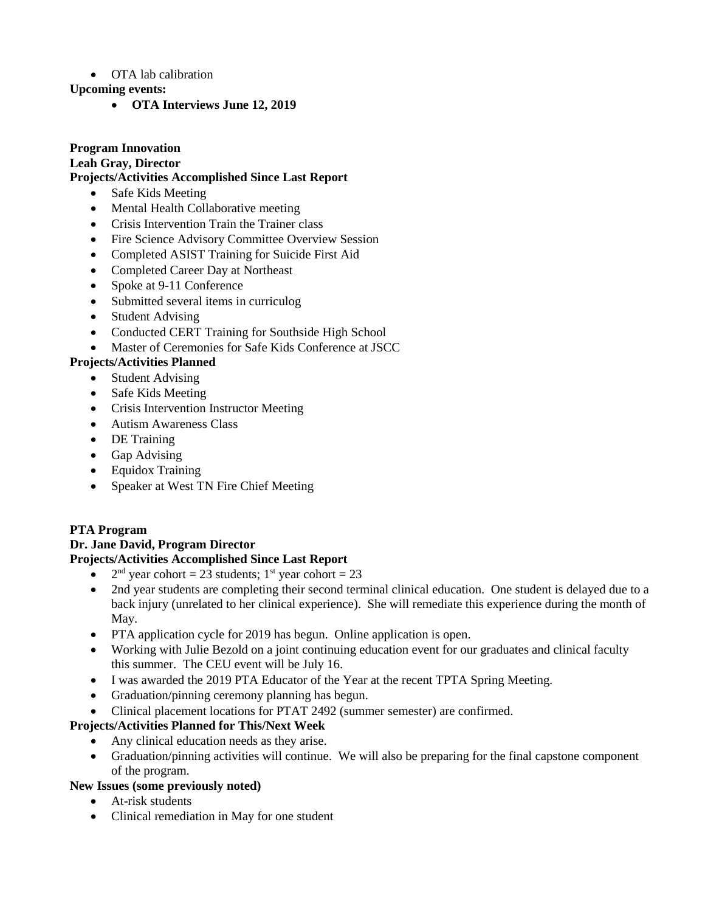#### • OTA lab calibration

#### **Upcoming events:**

**OTA Interviews June 12, 2019**

# **Program Innovation**

#### **Leah Gray, Director Projects/Activities Accomplished Since Last Report**

- Safe Kids Meeting
- Mental Health Collaborative meeting
- Crisis Intervention Train the Trainer class
- Fire Science Advisory Committee Overview Session
- Completed ASIST Training for Suicide First Aid
- Completed Career Day at Northeast
- Spoke at 9-11 Conference
- Submitted several items in curriculog
- Student Advising
- Conducted CERT Training for Southside High School
- Master of Ceremonies for Safe Kids Conference at JSCC

## **Projects/Activities Planned**

- Student Advising
- Safe Kids Meeting
- Crisis Intervention Instructor Meeting
- Autism Awareness Class
- DE Training
- Gap Advising
- Equidox Training
- Speaker at West TN Fire Chief Meeting

## **PTA Program**

## **Dr. Jane David, Program Director**

## **Projects/Activities Accomplished Since Last Report**

- $\bullet$  $2<sup>nd</sup>$  year cohort = 23 students; 1<sup>st</sup> year cohort = 23
- 2nd year students are completing their second terminal clinical education. One student is delayed due to a back injury (unrelated to her clinical experience). She will remediate this experience during the month of May.
- PTA application cycle for 2019 has begun. Online application is open.
- Working with Julie Bezold on a joint continuing education event for our graduates and clinical faculty this summer. The CEU event will be July 16.
- I was awarded the 2019 PTA Educator of the Year at the recent TPTA Spring Meeting.
- Graduation/pinning ceremony planning has begun.
- Clinical placement locations for PTAT 2492 (summer semester) are confirmed.

## **Projects/Activities Planned for This/Next Week**

- Any clinical education needs as they arise.
- Graduation/pinning activities will continue. We will also be preparing for the final capstone component of the program.

## **New Issues (some previously noted)**

- At-risk students
- Clinical remediation in May for one student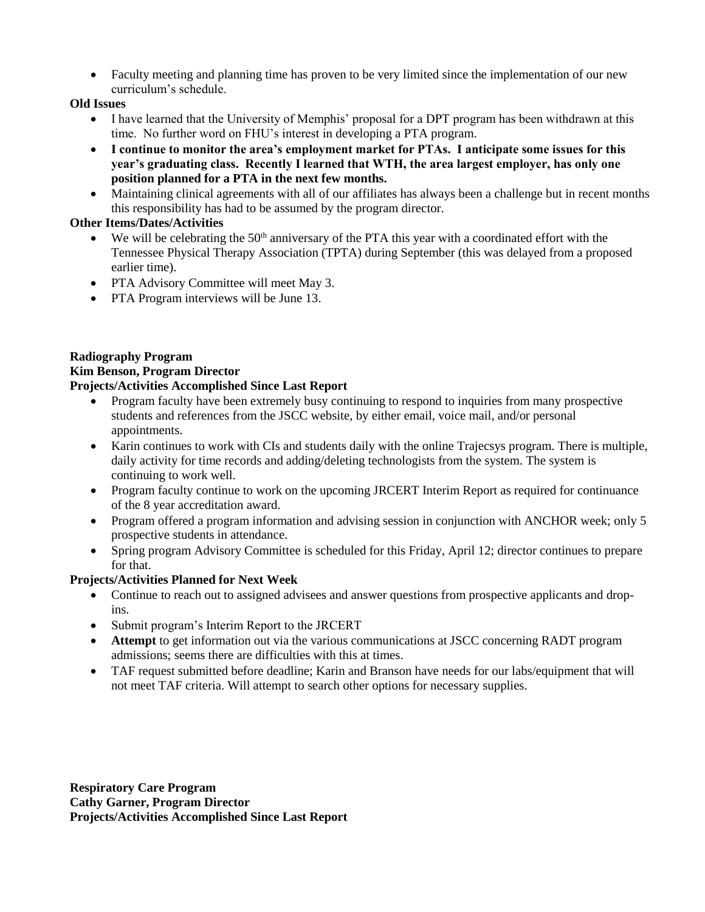Faculty meeting and planning time has proven to be very limited since the implementation of our new curriculum's schedule.

## **Old Issues**

- I have learned that the University of Memphis' proposal for a DPT program has been withdrawn at this time. No further word on FHU's interest in developing a PTA program.
- **I continue to monitor the area's employment market for PTAs. I anticipate some issues for this year's graduating class. Recently I learned that WTH, the area largest employer, has only one position planned for a PTA in the next few months.**
- Maintaining clinical agreements with all of our affiliates has always been a challenge but in recent months this responsibility has had to be assumed by the program director.

## **Other Items/Dates/Activities**

- $\bullet$  We will be celebrating the 50<sup>th</sup> anniversary of the PTA this year with a coordinated effort with the Tennessee Physical Therapy Association (TPTA) during September (this was delayed from a proposed earlier time).
- PTA Advisory Committee will meet May 3.
- PTA Program interviews will be June 13.

#### **Radiography Program Kim Benson, Program Director Projects/Activities Accomplished Since Last Report**

- Program faculty have been extremely busy continuing to respond to inquiries from many prospective students and references from the JSCC website, by either email, voice mail, and/or personal appointments.
- Karin continues to work with CIs and students daily with the online Trajecsys program. There is multiple, daily activity for time records and adding/deleting technologists from the system. The system is continuing to work well.
- Program faculty continue to work on the upcoming JRCERT Interim Report as required for continuance of the 8 year accreditation award.
- Program offered a program information and advising session in conjunction with ANCHOR week; only 5 prospective students in attendance.
- Spring program Advisory Committee is scheduled for this Friday, April 12; director continues to prepare for that.

## **Projects/Activities Planned for Next Week**

- Continue to reach out to assigned advisees and answer questions from prospective applicants and dropins.
- Submit program's Interim Report to the JRCERT
- **Attempt** to get information out via the various communications at JSCC concerning RADT program admissions; seems there are difficulties with this at times.
- TAF request submitted before deadline; Karin and Branson have needs for our labs/equipment that will not meet TAF criteria. Will attempt to search other options for necessary supplies.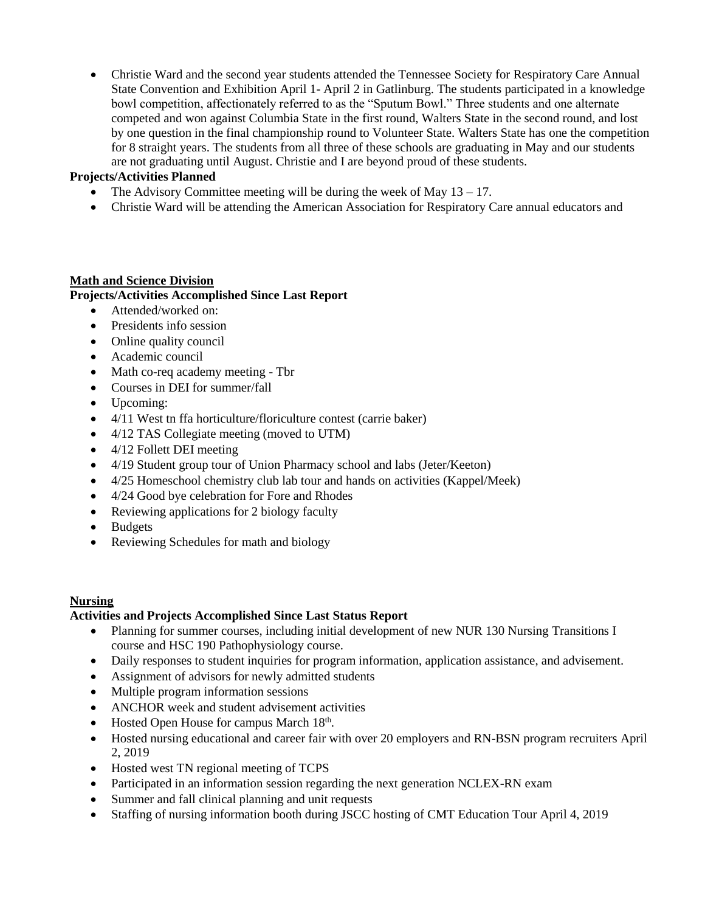Christie Ward and the second year students attended the Tennessee Society for Respiratory Care Annual State Convention and Exhibition April 1- April 2 in Gatlinburg. The students participated in a knowledge bowl competition, affectionately referred to as the "Sputum Bowl." Three students and one alternate competed and won against Columbia State in the first round, Walters State in the second round, and lost by one question in the final championship round to Volunteer State. Walters State has one the competition for 8 straight years. The students from all three of these schools are graduating in May and our students are not graduating until August. Christie and I are beyond proud of these students.

#### **Projects/Activities Planned**

- The Advisory Committee meeting will be during the week of May  $13 17$ .
- Christie Ward will be attending the American Association for Respiratory Care annual educators and

#### **Math and Science Division**

#### **Projects/Activities Accomplished Since Last Report**

- Attended/worked on:
- Presidents info session
- Online quality council
- Academic council
- Math co-req academy meeting Tbr
- Courses in DEI for summer/fall
- Upcoming:
- 4/11 West tn ffa horticulture/floriculture contest (carrie baker)
- 4/12 TAS Collegiate meeting (moved to UTM)
- 4/12 Follett DEI meeting
- 4/19 Student group tour of Union Pharmacy school and labs (Jeter/Keeton)
- 4/25 Homeschool chemistry club lab tour and hands on activities (Kappel/Meek)
- 4/24 Good bye celebration for Fore and Rhodes
- Reviewing applications for 2 biology faculty
- Budgets
- Reviewing Schedules for math and biology

#### **Nursing**

#### **Activities and Projects Accomplished Since Last Status Report**

- Planning for summer courses, including initial development of new NUR 130 Nursing Transitions I course and HSC 190 Pathophysiology course.
- Daily responses to student inquiries for program information, application assistance, and advisement.
- Assignment of advisors for newly admitted students
- Multiple program information sessions
- ANCHOR week and student advisement activities
- Hosted Open House for campus March 18<sup>th</sup>.
- Hosted nursing educational and career fair with over 20 employers and RN-BSN program recruiters April 2, 2019
- Hosted west TN regional meeting of TCPS
- Participated in an information session regarding the next generation NCLEX-RN exam
- Summer and fall clinical planning and unit requests
- Staffing of nursing information booth during JSCC hosting of CMT Education Tour April 4, 2019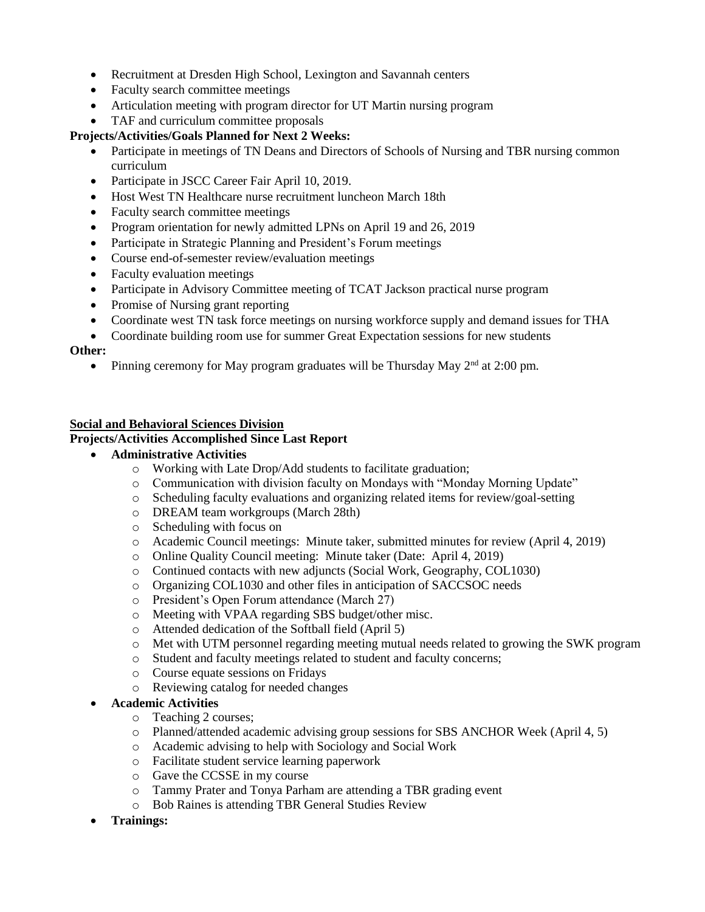- Recruitment at Dresden High School, Lexington and Savannah centers
- Faculty search committee meetings
- Articulation meeting with program director for UT Martin nursing program
- TAF and curriculum committee proposals

#### **Projects/Activities/Goals Planned for Next 2 Weeks:**

- Participate in meetings of TN Deans and Directors of Schools of Nursing and TBR nursing common curriculum
- Participate in JSCC Career Fair April 10, 2019.
- Host West TN Healthcare nurse recruitment luncheon March 18th
- Faculty search committee meetings
- Program orientation for newly admitted LPNs on April 19 and 26, 2019
- Participate in Strategic Planning and President's Forum meetings
- Course end-of-semester review/evaluation meetings
- Faculty evaluation meetings
- Participate in Advisory Committee meeting of TCAT Jackson practical nurse program
- Promise of Nursing grant reporting
- Coordinate west TN task force meetings on nursing workforce supply and demand issues for THA
- Coordinate building room use for summer Great Expectation sessions for new students

#### **Other:**

• Pinning ceremony for May program graduates will be Thursday May  $2<sup>nd</sup>$  at 2:00 pm.

#### **Social and Behavioral Sciences Division**

#### **Projects/Activities Accomplished Since Last Report**

- **Administrative Activities**
	- o Working with Late Drop/Add students to facilitate graduation;
	- o Communication with division faculty on Mondays with "Monday Morning Update"
	- o Scheduling faculty evaluations and organizing related items for review/goal-setting
	- o DREAM team workgroups (March 28th)
	- o Scheduling with focus on
	- o Academic Council meetings: Minute taker, submitted minutes for review (April 4, 2019)
	- o Online Quality Council meeting: Minute taker (Date: April 4, 2019)
	- o Continued contacts with new adjuncts (Social Work, Geography, COL1030)
	- o Organizing COL1030 and other files in anticipation of SACCSOC needs
	- o President's Open Forum attendance (March 27)
	- o Meeting with VPAA regarding SBS budget/other misc.
	- o Attended dedication of the Softball field (April 5)
	- o Met with UTM personnel regarding meeting mutual needs related to growing the SWK program
	- o Student and faculty meetings related to student and faculty concerns;
	- o Course equate sessions on Fridays
	- o Reviewing catalog for needed changes

#### **Academic Activities**

- o Teaching 2 courses;
- o Planned/attended academic advising group sessions for SBS ANCHOR Week (April 4, 5)
- o Academic advising to help with Sociology and Social Work
- o Facilitate student service learning paperwork
- o Gave the CCSSE in my course
- o Tammy Prater and Tonya Parham are attending a TBR grading event
- o Bob Raines is attending TBR General Studies Review
- **Trainings:**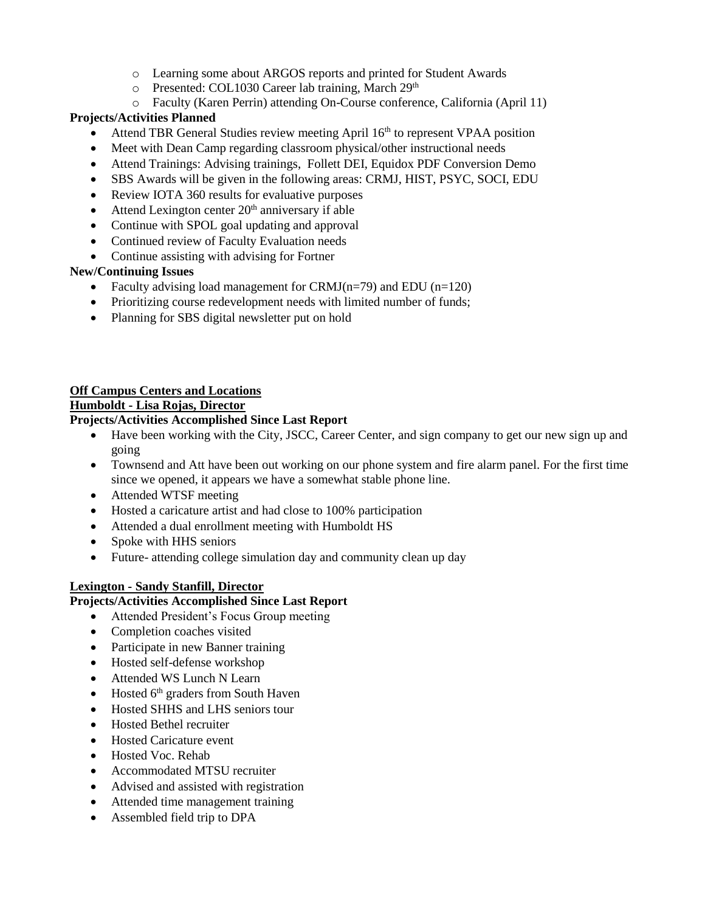- o Learning some about ARGOS reports and printed for Student Awards
- o Presented: COL1030 Career lab training, March 29<sup>th</sup>
- o Faculty (Karen Perrin) attending On-Course conference, California (April 11)

## **Projects/Activities Planned**

- Attend TBR General Studies review meeting April 16<sup>th</sup> to represent VPAA position
- Meet with Dean Camp regarding classroom physical/other instructional needs
- Attend Trainings: Advising trainings, Follett DEI, Equidox PDF Conversion Demo
- SBS Awards will be given in the following areas: CRMJ, HIST, PSYC, SOCI, EDU
- Review IOTA 360 results for evaluative purposes
- $\bullet$  Attend Lexington center  $20<sup>th</sup>$  anniversary if able
- Continue with SPOL goal updating and approval
- Continued review of Faculty Evaluation needs
- Continue assisting with advising for Fortner

## **New/Continuing Issues**

- Faculty advising load management for CRMJ( $n=79$ ) and EDU ( $n=120$ )
- Prioritizing course redevelopment needs with limited number of funds;
- Planning for SBS digital newsletter put on hold

## **Off Campus Centers and Locations**

**Humboldt - Lisa Rojas, Director**

## **Projects/Activities Accomplished Since Last Report**

- Have been working with the City, JSCC, Career Center, and sign company to get our new sign up and going
- Townsend and Att have been out working on our phone system and fire alarm panel. For the first time since we opened, it appears we have a somewhat stable phone line.
- Attended WTSF meeting
- Hosted a caricature artist and had close to 100% participation
- Attended a dual enrollment meeting with Humboldt HS
- Spoke with HHS seniors
- Future- attending college simulation day and community clean up day

## **Lexington - Sandy Stanfill, Director**

## **Projects/Activities Accomplished Since Last Report**

- Attended President's Focus Group meeting
- Completion coaches visited
- Participate in new Banner training
- Hosted self-defense workshop
- Attended WS Lunch N Learn
- $\bullet$  Hosted  $6<sup>th</sup>$  graders from South Haven
- Hosted SHHS and LHS seniors tour
- Hosted Bethel recruiter
- Hosted Caricature event
- Hosted Voc. Rehab
- Accommodated MTSU recruiter
- Advised and assisted with registration
- Attended time management training
- Assembled field trip to DPA